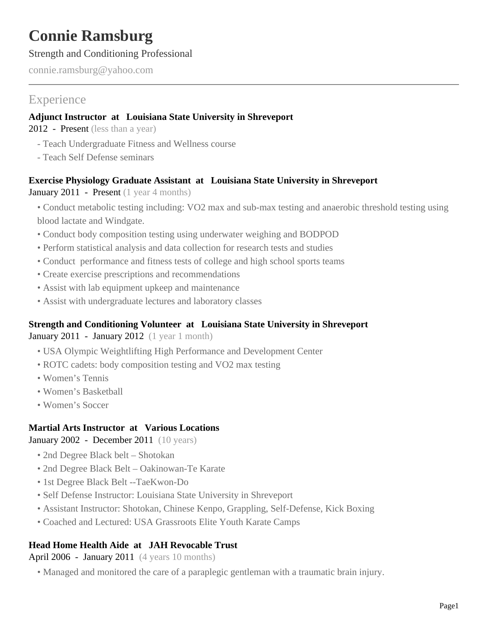# **Connie Ramsburg**

### Strength and Conditioning Professional

connie.ramsburg@yahoo.com

## **Experience**

### **Adjunct Instructor at Louisiana State University in Shreveport**

2012 - Present (less than a year)

- Teach Undergraduate Fitness and Wellness course
- Teach Self Defense seminars

### **Exercise Physiology Graduate Assistant at Louisiana State University in Shreveport**

January 2011 - Present (1 year 4 months)

- Conduct metabolic testing including: VO2 max and sub-max testing and anaerobic threshold testing using blood lactate and Windgate.
- Conduct body composition testing using underwater weighing and BODPOD
- Perform statistical analysis and data collection for research tests and studies
- Conduct performance and fitness tests of college and high school sports teams
- Create exercise prescriptions and recommendations
- Assist with lab equipment upkeep and maintenance
- Assist with undergraduate lectures and laboratory classes

### **Strength and Conditioning Volunteer at Louisiana State University in Shreveport**

January 2011 - January 2012 (1 year 1 month)

- USA Olympic Weightlifting High Performance and Development Center
- ROTC cadets: body composition testing and VO2 max testing
- Women's Tennis
- Women's Basketball
- Women's Soccer

### **Martial Arts Instructor at Various Locations**

January 2002 - December 2011 (10 years)

- 2nd Degree Black belt Shotokan
- 2nd Degree Black Belt Oakinowan-Te Karate
- 1st Degree Black Belt --TaeKwon-Do
- Self Defense Instructor: Louisiana State University in Shreveport
- Assistant Instructor: Shotokan, Chinese Kenpo, Grappling, Self-Defense, Kick Boxing
- Coached and Lectured: USA Grassroots Elite Youth Karate Camps

### **Head Home Health Aide at JAH Revocable Trust**

April 2006 - January 2011 (4 years 10 months)

• Managed and monitored the care of a paraplegic gentleman with a traumatic brain injury.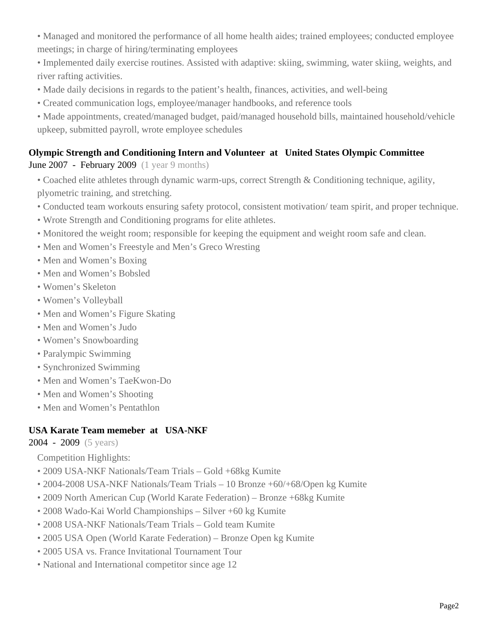- Managed and monitored the performance of all home health aides; trained employees; conducted employee meetings; in charge of hiring/terminating employees
- Implemented daily exercise routines. Assisted with adaptive: skiing, swimming, water skiing, weights, and river rafting activities.
- Made daily decisions in regards to the patient's health, finances, activities, and well-being
- Created communication logs, employee/manager handbooks, and reference tools
- Made appointments, created/managed budget, paid/managed household bills, maintained household/vehicle upkeep, submitted payroll, wrote employee schedules

## **Olympic Strength and Conditioning Intern and Volunteer at United States Olympic Committee**

June 2007 - February 2009 (1 year 9 months)

- Coached elite athletes through dynamic warm-ups, correct Strength & Conditioning technique, agility, plyometric training, and stretching.
- Conducted team workouts ensuring safety protocol, consistent motivation/ team spirit, and proper technique.
- Wrote Strength and Conditioning programs for elite athletes.
- Monitored the weight room; responsible for keeping the equipment and weight room safe and clean.
- Men and Women's Freestyle and Men's Greco Wresting
- Men and Women's Boxing
- Men and Women's Bobsled
- Women's Skeleton
- Women's Volleyball
- Men and Women's Figure Skating
- Men and Women's Judo
- Women's Snowboarding
- Paralympic Swimming
- Synchronized Swimming
- Men and Women's TaeKwon-Do
- Men and Women's Shooting
- Men and Women's Pentathlon

### **USA Karate Team memeber at USA-NKF**

2004 - 2009 (5 years)

Competition Highlights:

- 2009 USA-NKF Nationals/Team Trials Gold +68kg Kumite
- 2004-2008 USA-NKF Nationals/Team Trials 10 Bronze +60/+68/Open kg Kumite
- 2009 North American Cup (World Karate Federation) Bronze +68kg Kumite
- 2008 Wado-Kai World Championships Silver +60 kg Kumite
- 2008 USA-NKF Nationals/Team Trials Gold team Kumite
- 2005 USA Open (World Karate Federation) Bronze Open kg Kumite
- 2005 USA vs. France Invitational Tournament Tour
- National and International competitor since age 12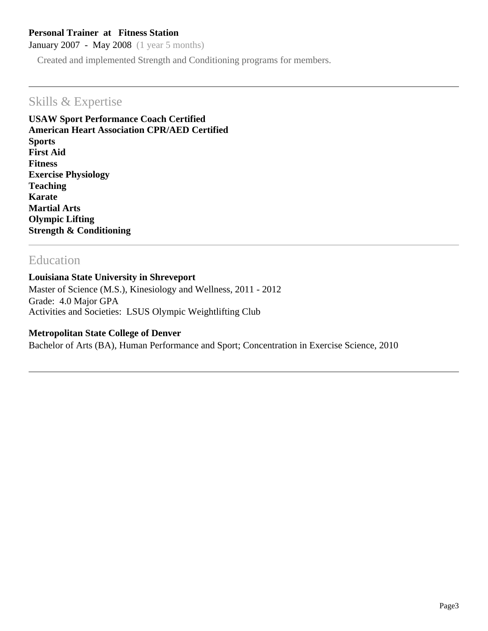### **Personal Trainer at Fitness Station**

January 2007 - May 2008 (1 year 5 months)

Created and implemented Strength and Conditioning programs for members.

### Skills & Expertise

**USAW Sport Performance Coach Certified American Heart Association CPR/AED Certified Sports First Aid Fitness Exercise Physiology Teaching Karate Martial Arts Olympic Lifting Strength & Conditioning**

### Education

#### **Louisiana State University in Shreveport**

Master of Science (M.S.), Kinesiology and Wellness, 2011 - 2012 Grade: 4.0 Major GPA Activities and Societies: LSUS Olympic Weightlifting Club

#### **Metropolitan State College of Denver**

Bachelor of Arts (BA), Human Performance and Sport; Concentration in Exercise Science, 2010